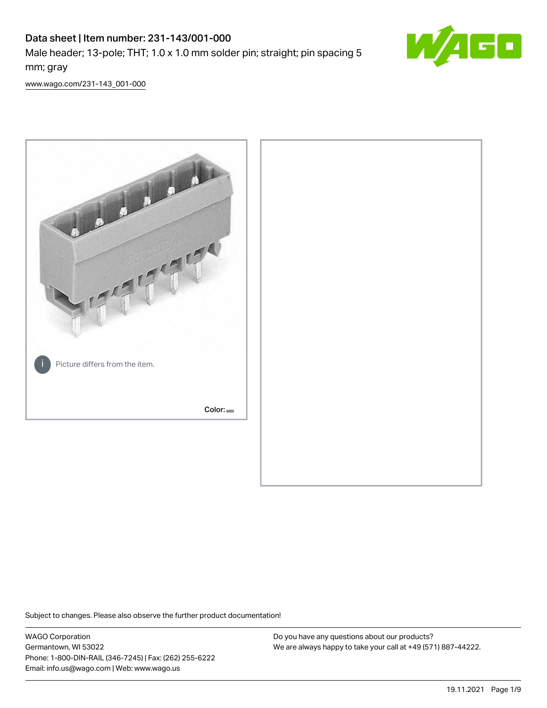# Data sheet | Item number: 231-143/001-000 Male header; 13-pole; THT; 1.0 x 1.0 mm solder pin; straight; pin spacing 5 mm; gray



[www.wago.com/231-143\\_001-000](http://www.wago.com/231-143_001-000)



Subject to changes. Please also observe the further product documentation!

WAGO Corporation Germantown, WI 53022 Phone: 1-800-DIN-RAIL (346-7245) | Fax: (262) 255-6222 Email: info.us@wago.com | Web: www.wago.us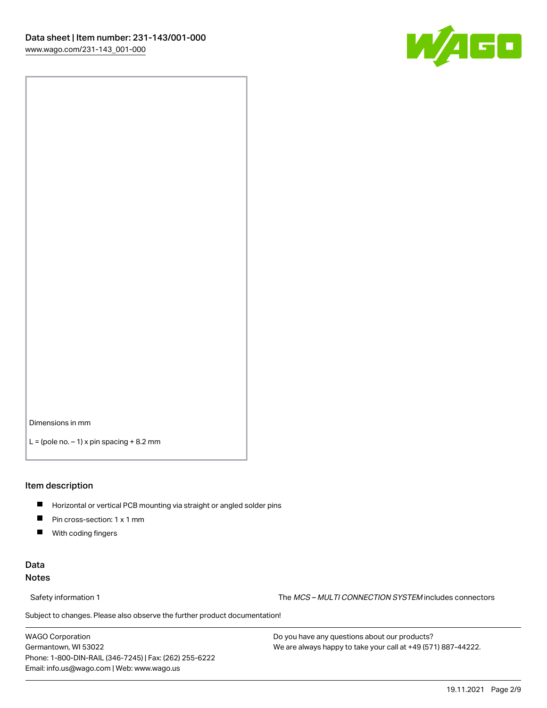

Dimensions in mm

 $L =$  (pole no.  $-1$ ) x pin spacing  $+8.2$  mm

### Item description

- **Horizontal or vertical PCB mounting via straight or angled solder pins**
- **Pin cross-section: 1 x 1 mm**
- $\blacksquare$ With coding fingers

# Data Notes

Safety information 1 The MCS – MULTI CONNECTION SYSTEM includes connectors

Subject to changes. Please also observe the further product documentation!  $\nu$ 

WAGO Corporation Germantown, WI 53022 Phone: 1-800-DIN-RAIL (346-7245) | Fax: (262) 255-6222 Email: info.us@wago.com | Web: www.wago.us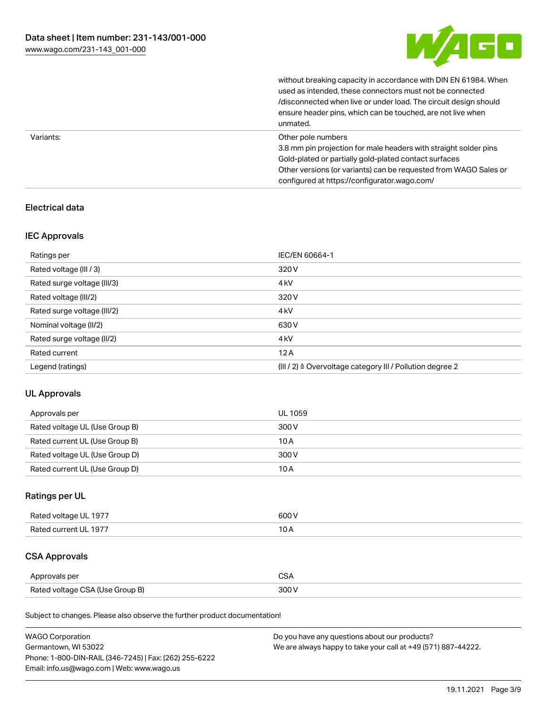

without breaking capacity in accordance with DIN EN 61984. When

|           | used as intended, these connectors must not be connected<br>/disconnected when live or under load. The circuit design should<br>ensure header pins, which can be touched, are not live when<br>unmated.                                                             |
|-----------|---------------------------------------------------------------------------------------------------------------------------------------------------------------------------------------------------------------------------------------------------------------------|
| Variants: | Other pole numbers<br>3.8 mm pin projection for male headers with straight solder pins<br>Gold-plated or partially gold-plated contact surfaces<br>Other versions (or variants) can be requested from WAGO Sales or<br>configured at https://configurator.wago.com/ |

# Electrical data

# IEC Approvals

| Ratings per                 | IEC/EN 60664-1                                                        |
|-----------------------------|-----------------------------------------------------------------------|
| Rated voltage (III / 3)     | 320 V                                                                 |
| Rated surge voltage (III/3) | 4 <sub>k</sub> V                                                      |
| Rated voltage (III/2)       | 320 V                                                                 |
| Rated surge voltage (III/2) | 4 <sub>k</sub> V                                                      |
| Nominal voltage (II/2)      | 630 V                                                                 |
| Rated surge voltage (II/2)  | 4 <sub>kV</sub>                                                       |
| Rated current               | 12A                                                                   |
| Legend (ratings)            | $(III / 2)$ $\triangle$ Overvoltage category III / Pollution degree 2 |

# UL Approvals

| Approvals per                  | UL 1059 |
|--------------------------------|---------|
| Rated voltage UL (Use Group B) | 300 V   |
| Rated current UL (Use Group B) | 10 A    |
| Rated voltage UL (Use Group D) | 300 V   |
| Rated current UL (Use Group D) | 10 A    |

# Ratings per UL

| Rated voltage UL 1977 | 600 V |
|-----------------------|-------|
| Rated current UL 1977 |       |

# CSA Approvals

| Approvals per                   | $\sim$ |
|---------------------------------|--------|
| Rated voltage CSA (Use Group B) | 300 V  |

Subject to changes. Please also observe the further product documentation!

| <b>WAGO Corporation</b>                                | Do you have any questions about our products?                 |
|--------------------------------------------------------|---------------------------------------------------------------|
| Germantown, WI 53022                                   | We are always happy to take your call at +49 (571) 887-44222. |
| Phone: 1-800-DIN-RAIL (346-7245)   Fax: (262) 255-6222 |                                                               |
| Email: info.us@wago.com   Web: www.wago.us             |                                                               |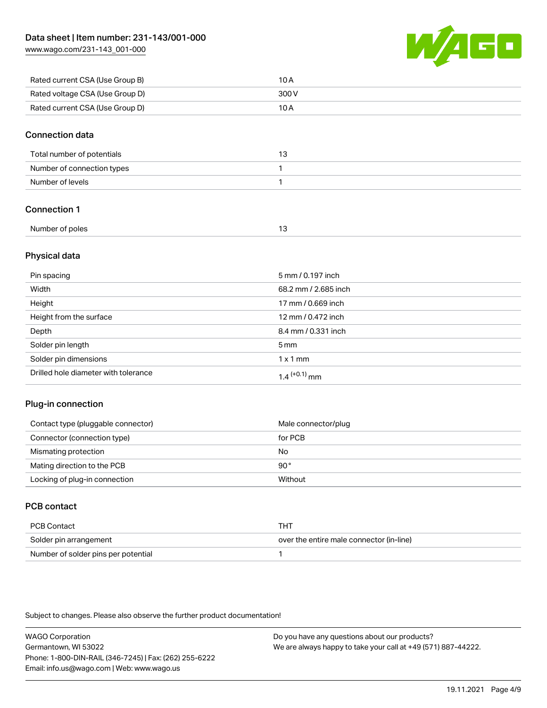[www.wago.com/231-143\\_001-000](http://www.wago.com/231-143_001-000)



| Rated current CSA (Use Group B) | 10 A  |
|---------------------------------|-------|
| Rated voltage CSA (Use Group D) | 300 V |
| Rated current CSA (Use Group D) | 10 A  |

### Connection data

| Total number of potentials |  |
|----------------------------|--|
| Number of connection types |  |
| Number of levels           |  |

# Connection 1

| Number of poles |  |
|-----------------|--|

# Physical data

| Pin spacing                          | 5 mm / 0.197 inch    |
|--------------------------------------|----------------------|
| Width                                | 68.2 mm / 2.685 inch |
| Height                               | 17 mm / 0.669 inch   |
| Height from the surface              | 12 mm / 0.472 inch   |
| Depth                                | 8.4 mm / 0.331 inch  |
| Solder pin length                    | $5 \,\mathrm{mm}$    |
| Solder pin dimensions                | $1 \times 1$ mm      |
| Drilled hole diameter with tolerance | $1.4$ $(+0.1)$ mm    |

# Plug-in connection

| Contact type (pluggable connector) | Male connector/plug |
|------------------------------------|---------------------|
| Connector (connection type)        | for PCB             |
| Mismating protection               | No                  |
| Mating direction to the PCB        | 90°                 |
| Locking of plug-in connection      | Without             |

# PCB contact

| PCB Contact                         | тнт                                      |
|-------------------------------------|------------------------------------------|
| Solder pin arrangement              | over the entire male connector (in-line) |
| Number of solder pins per potential |                                          |

Subject to changes. Please also observe the further product documentation!

WAGO Corporation Germantown, WI 53022 Phone: 1-800-DIN-RAIL (346-7245) | Fax: (262) 255-6222 Email: info.us@wago.com | Web: www.wago.us Do you have any questions about our products? We are always happy to take your call at +49 (571) 887-44222.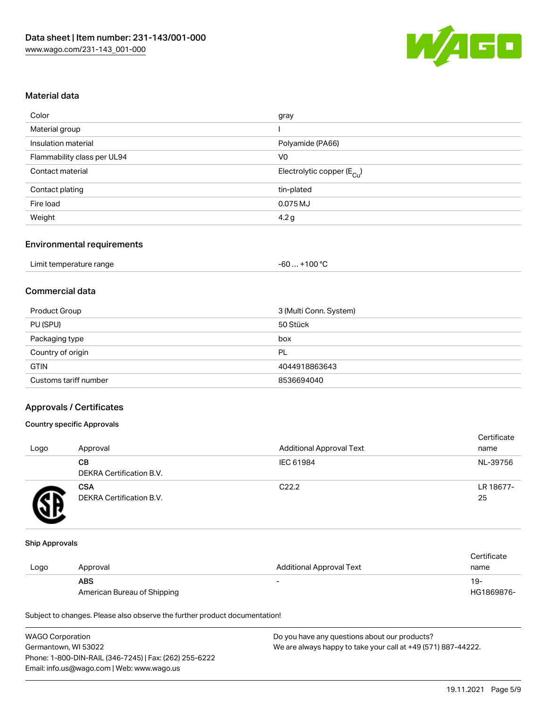

### Material data

| gray                                   |
|----------------------------------------|
|                                        |
| Polyamide (PA66)                       |
| V <sub>0</sub>                         |
| Electrolytic copper (E <sub>Cu</sub> ) |
| tin-plated                             |
| 0.075 MJ                               |
| 4.2 g                                  |
|                                        |

# Environmental requirements

| Limit temperature range | $+100 °C$<br>-60 |
|-------------------------|------------------|
|-------------------------|------------------|

# Commercial data

| Product Group         | 3 (Multi Conn. System) |
|-----------------------|------------------------|
| PU (SPU)              | 50 Stück               |
| Packaging type        | box                    |
| Country of origin     | PL                     |
| <b>GTIN</b>           | 4044918863643          |
| Customs tariff number | 8536694040             |

#### Approvals / Certificates

#### Country specific Approvals

| Logo | Approval                               | <b>Additional Approval Text</b> | Certificate<br>name |
|------|----------------------------------------|---------------------------------|---------------------|
|      | CВ<br>DEKRA Certification B.V.         | IEC 61984                       | NL-39756            |
|      | <b>CSA</b><br>DEKRA Certification B.V. | C <sub>22.2</sub>               | LR 18677-<br>25     |

#### Ship Approvals

|      |                             |                                 | Certificate |
|------|-----------------------------|---------------------------------|-------------|
| Logo | Approval                    | <b>Additional Approval Text</b> | name        |
|      | <b>ABS</b>                  | -                               | 19-         |
|      | American Bureau of Shipping |                                 | HG1869876-  |

Subject to changes. Please also observe the further product documentation!

| <b>WAGO Corporation</b>                                | Do you have any questions about our products?                 |
|--------------------------------------------------------|---------------------------------------------------------------|
| Germantown, WI 53022                                   | We are always happy to take your call at +49 (571) 887-44222. |
| Phone: 1-800-DIN-RAIL (346-7245)   Fax: (262) 255-6222 |                                                               |
| Email: info.us@wago.com   Web: www.wago.us             |                                                               |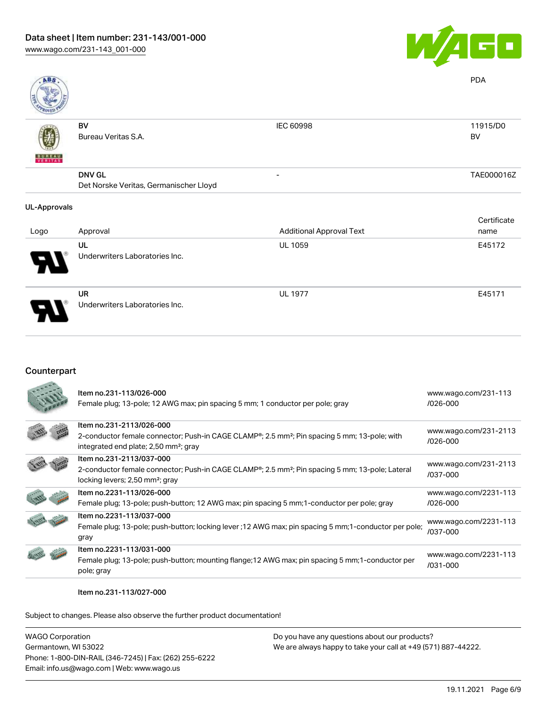

UL 1977 E45171

| <b>ABS</b>          |                                        |                                 | <b>PDA</b>  |
|---------------------|----------------------------------------|---------------------------------|-------------|
|                     | BV                                     | <b>IEC 60998</b>                | 11915/D0    |
|                     | Bureau Veritas S.A.                    |                                 | BV          |
| <b>BUNEAU</b>       |                                        |                                 |             |
|                     | <b>DNV GL</b>                          | -                               | TAE000016Z  |
|                     | Det Norske Veritas, Germanischer Lloyd |                                 |             |
| <b>UL-Approvals</b> |                                        |                                 |             |
|                     |                                        |                                 | Certificate |
| Logo                | Approval                               | <b>Additional Approval Text</b> | name        |
|                     | UL                                     | <b>UL 1059</b>                  | E45172      |
|                     | Underwriters Laboratories Inc.         |                                 |             |

UR Underwriters Laboratories Inc.

# Counterpart

| Item no.231-113/026-000<br>Female plug; 13-pole; 12 AWG max; pin spacing 5 mm; 1 conductor per pole; gray                                                                                              | www.wago.com/231-113<br>$/026 - 000$  |
|--------------------------------------------------------------------------------------------------------------------------------------------------------------------------------------------------------|---------------------------------------|
| Item no.231-2113/026-000<br>2-conductor female connector; Push-in CAGE CLAMP <sup>®</sup> ; 2.5 mm <sup>2</sup> ; Pin spacing 5 mm; 13-pole; with<br>integrated end plate; 2,50 mm <sup>2</sup> ; gray | www.wago.com/231-2113<br>/026-000     |
| Item no.231-2113/037-000<br>2-conductor female connector; Push-in CAGE CLAMP <sup>®</sup> ; 2.5 mm <sup>2</sup> ; Pin spacing 5 mm; 13-pole; Lateral<br>locking levers; 2,50 mm <sup>2</sup> ; gray    | www.wago.com/231-2113<br>/037-000     |
| Item no.2231-113/026-000<br>Female plug; 13-pole; push-button; 12 AWG max; pin spacing 5 mm; 1-conductor per pole; gray                                                                                | www.wago.com/2231-113<br>$/026 - 000$ |
| Item no.2231-113/037-000<br>Female plug; 13-pole; push-button; locking lever ; 12 AWG max; pin spacing 5 mm; 1-conductor per pole;<br>gray                                                             | www.wago.com/2231-113<br>/037-000     |
| Item no.2231-113/031-000<br>Female plug; 13-pole; push-button; mounting flange; 12 AWG max; pin spacing 5 mm; 1-conductor per<br>pole; gray                                                            | www.wago.com/2231-113<br>/031-000     |

#### Item no.231-113/027-000

Subject to changes. Please also observe the further product documentation!

| WAGO Corporation                                       | Do you have any questions about our products?                 |
|--------------------------------------------------------|---------------------------------------------------------------|
| Germantown, WI 53022                                   | We are always happy to take your call at +49 (571) 887-44222. |
| Phone: 1-800-DIN-RAIL (346-7245)   Fax: (262) 255-6222 |                                                               |
| Email: info.us@wago.com   Web: www.wago.us             |                                                               |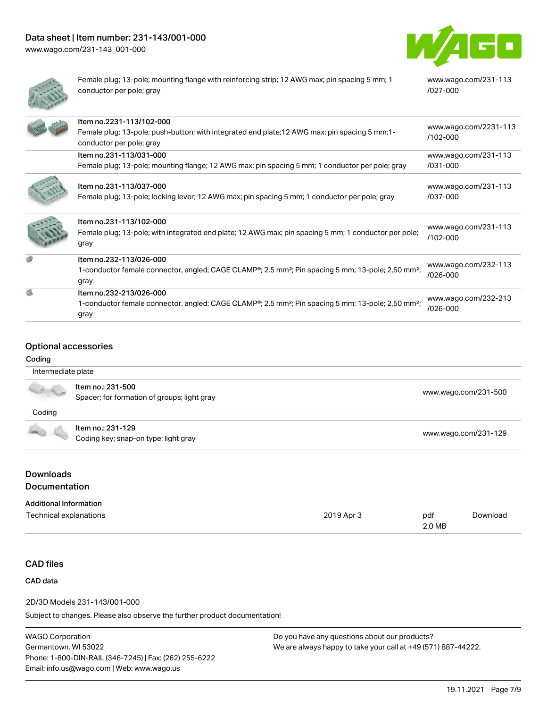

[www.wago.com/231-113](https://www.wago.com/231-113/027-000)

[/027-000](https://www.wago.com/231-113/027-000)



Female plug; 13-pole; mounting flange with reinforcing strip; 12 AWG max; pin spacing 5 mm; 1 conductor per pole; gray

|     | Item no.2231-113/102-000<br>Female plug; 13-pole; push-button; with integrated end plate; 12 AWG max; pin spacing 5 mm; 1-<br>conductor per pole; gray        | www.wago.com/2231-113<br>$/102 - 000$ |
|-----|---------------------------------------------------------------------------------------------------------------------------------------------------------------|---------------------------------------|
|     | Item no.231-113/031-000                                                                                                                                       | www.wago.com/231-113                  |
|     | Female plug; 13-pole; mounting flange; 12 AWG max; pin spacing 5 mm; 1 conductor per pole; gray                                                               | /031-000                              |
|     | Item no.231-113/037-000<br>Female plug; 13-pole; locking lever; 12 AWG max; pin spacing 5 mm; 1 conductor per pole; gray                                      | www.wago.com/231-113<br>/037-000      |
|     | Item no.231-113/102-000<br>Female plug; 13-pole; with integrated end plate; 12 AWG max; pin spacing 5 mm; 1 conductor per pole;<br>gray                       | www.wago.com/231-113<br>$/102 - 000$  |
|     | Item no.232-113/026-000<br>1-conductor female connector, angled; CAGE CLAMP®; 2.5 mm <sup>2</sup> ; Pin spacing 5 mm; 13-pole; 2,50 mm <sup>2</sup> ;<br>gray | www.wago.com/232-113<br>/026-000      |
| g), | Item no.232-213/026-000<br>1-conductor female connector, angled; CAGE CLAMP®; 2.5 mm <sup>2</sup> ; Pin spacing 5 mm; 13-pole; 2,50 mm <sup>2</sup> ;<br>gray | www.wago.com/232-213<br>/026-000      |

# Optional accessories

#### Coding

| Intermediate plate                |                                                                  |                      |
|-----------------------------------|------------------------------------------------------------------|----------------------|
|                                   | Item no.: 231-500<br>Spacer; for formation of groups; light gray | www.wago.com/231-500 |
| Coding                            |                                                                  |                      |
|                                   | Item no.: 231-129<br>Coding key; snap-on type; light gray        | www.wago.com/231-129 |
| <b>Downloads</b><br>Documentation |                                                                  |                      |
| <b>Additional Information</b>     |                                                                  |                      |

| $\overline{\phantom{0}}$<br>Technical<br>----<br>. | pdf<br>.0 MB | Jownloac |
|----------------------------------------------------|--------------|----------|
|                                                    |              |          |

### CAD files

### CAD data

#### 2D/3D Models 231-143/001-000

Subject to changes. Please also observe the further product documentation!

WAGO Corporation Germantown, WI 53022 Phone: 1-800-DIN-RAIL (346-7245) | Fax: (262) 255-6222 Email: info.us@wago.com | Web: www.wago.us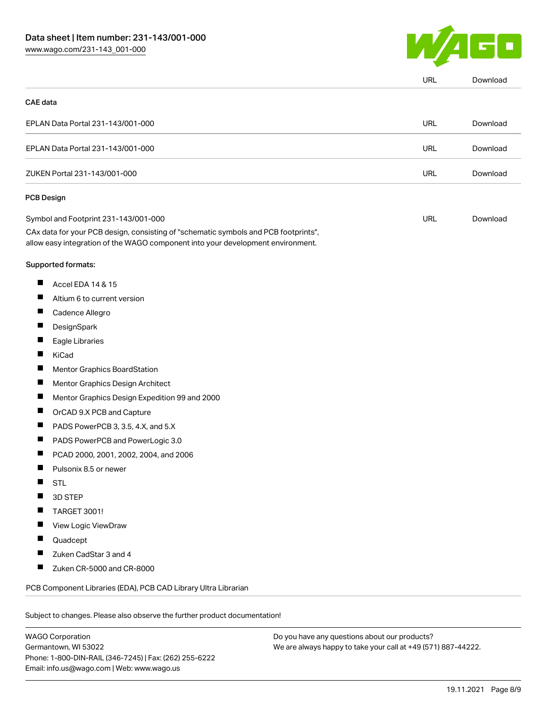

|                              |                                                                                                                                                                        | <b>URL</b> | Download |
|------------------------------|------------------------------------------------------------------------------------------------------------------------------------------------------------------------|------------|----------|
| <b>CAE</b> data              |                                                                                                                                                                        |            |          |
|                              | EPLAN Data Portal 231-143/001-000                                                                                                                                      | <b>URL</b> | Download |
|                              | EPLAN Data Portal 231-143/001-000                                                                                                                                      | <b>URL</b> | Download |
| ZUKEN Portal 231-143/001-000 |                                                                                                                                                                        | <b>URL</b> | Download |
|                              | PCB Design                                                                                                                                                             |            |          |
|                              | Symbol and Footprint 231-143/001-000                                                                                                                                   | <b>URL</b> | Download |
|                              | CAx data for your PCB design, consisting of "schematic symbols and PCB footprints",<br>allow easy integration of the WAGO component into your development environment. |            |          |
|                              | Supported formats:                                                                                                                                                     |            |          |
| ш                            | Accel EDA 14 & 15                                                                                                                                                      |            |          |
| ш                            | Altium 6 to current version                                                                                                                                            |            |          |
| ш                            | Cadence Allegro                                                                                                                                                        |            |          |
| ш                            | DesignSpark                                                                                                                                                            |            |          |
| П                            | Eagle Libraries                                                                                                                                                        |            |          |
| ш                            | KiCad                                                                                                                                                                  |            |          |
|                              | Mentor Graphics BoardStation                                                                                                                                           |            |          |
| Ш                            | Mentor Graphics Design Architect                                                                                                                                       |            |          |
| ш                            | Mentor Graphics Design Expedition 99 and 2000                                                                                                                          |            |          |
| H                            | OrCAD 9.X PCB and Capture                                                                                                                                              |            |          |
| ш                            | PADS PowerPCB 3, 3.5, 4.X, and 5.X                                                                                                                                     |            |          |
| ш                            | PADS PowerPCB and PowerLogic 3.0                                                                                                                                       |            |          |
|                              | PCAD 2000, 2001, 2002, 2004, and 2006                                                                                                                                  |            |          |
| ш                            | Pulsonix 8.5 or newer                                                                                                                                                  |            |          |
|                              | <b>STL</b>                                                                                                                                                             |            |          |
|                              | 3D STEP                                                                                                                                                                |            |          |
|                              | TARGET 3001!                                                                                                                                                           |            |          |
|                              | View Logic ViewDraw                                                                                                                                                    |            |          |
|                              | Quadcept                                                                                                                                                               |            |          |
|                              | Zuken CadStar 3 and 4                                                                                                                                                  |            |          |
|                              | Zuken CR-5000 and CR-8000                                                                                                                                              |            |          |
|                              | PCB Component Libraries (EDA), PCB CAD Library Ultra Librarian                                                                                                         |            |          |

WAGO Corporation Germantown, WI 53022 Phone: 1-800-DIN-RAIL (346-7245) | Fax: (262) 255-6222 Email: info.us@wago.com | Web: www.wago.us